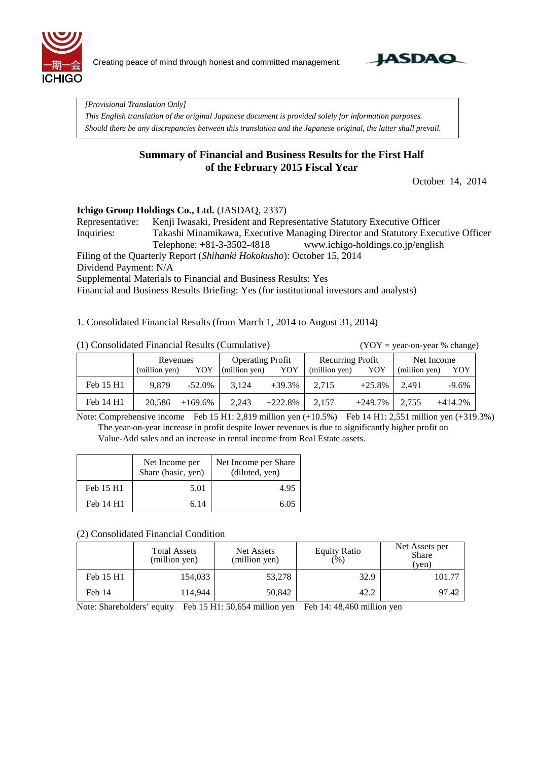

Creating peace of mind through honest and committed management.



*[Provisional Translation Only]*

*This English translation of the original Japanese document is provided solely for information purposes. Should there be any discrepancies between this translation and the Japanese original, the latter shall prevail.*

### **Summary of Financial and Business Results for the First Half of the February 2015 Fiscal Year**

October 14, 2014

#### **Ichigo Group Holdings Co., Ltd.** (JASDAQ, 2337)

Representative: Kenji Iwasaki, President and Representative Statutory Executive Officer Inquiries: Takashi Minamikawa, Executive Managing Director and Statutory Executive Officer Telephone: +81-3-3502-4818 www.ichigo-holdings.co.jp/english

Filing of the Quarterly Report (*Shihanki Hokokusho*): October 15, 2014

Dividend Payment: N/A

Supplemental Materials to Financial and Business Results: Yes

Financial and Business Results Briefing: Yes (for institutional investors and analysts)

1. Consolidated Financial Results (from March 1, 2014 to August 31, 2014)

 $(YOY = year-on-year % change)$ 

|           | Revenues      |            | <b>Operating Profit</b> |           | <b>Recurring Profit</b> |            | Net Income    |           |
|-----------|---------------|------------|-------------------------|-----------|-------------------------|------------|---------------|-----------|
|           | (million yen) | YOY        | (million yen)           | YOY       | (million yen)           | YOY        | (million yen) | YOY       |
| Feb 15 H1 | 9.879         | $-52.0\%$  | 3.124                   | $+39.3\%$ | 2.715                   | $+25.8\%$  | 2.491         | $-9.6\%$  |
| Feb 14 H1 | 20,586        | $+169.6\%$ | 2,243                   | $+222.8%$ | 2,157                   | $+249.7\%$ | 2,755         | $+414.2%$ |

Note: Comprehensive income Feb 15 H1: 2,819 million yen (+10.5%) Feb 14 H1: 2,551 million yen (+319.3%) The year-on-year increase in profit despite lower revenues is due to significantly higher profit on Value-Add sales and an increase in rental income from Real Estate assets.

|           | Net Income per<br>Share (basic, yen) | Net Income per Share<br>(diluted, yen) |
|-----------|--------------------------------------|----------------------------------------|
| Feb 15 H1 | 5.01                                 | 4.95                                   |
| Feb 14 H1 | 6.14                                 | 6.05                                   |

#### (2) Consolidated Financial Condition

|           | <b>Total Assets</b><br>(million yen) | Net Assets<br>(million yen) | <b>Equity Ratio</b><br>(% ) | Net Assets per<br><b>Share</b><br>(ven) |  |
|-----------|--------------------------------------|-----------------------------|-----------------------------|-----------------------------------------|--|
| Feb 15 H1 | 154,033                              | 53,278                      | 32.9                        | 101.77                                  |  |
| Feb 14    | 114,944                              | 50,842                      | 42.2                        | 97.42                                   |  |

Note: Shareholders' equity Feb 15 H1: 50,654 million yen Feb 14: 48,460 million yen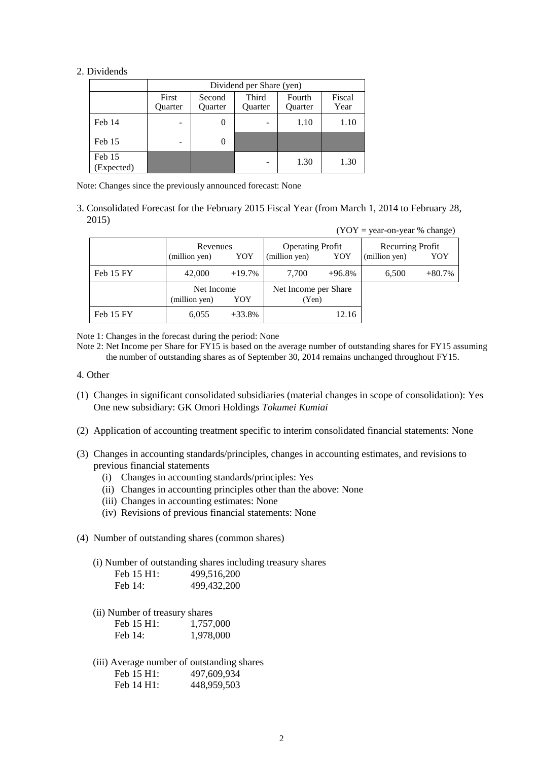#### 2. Dividends

|                      |                  | Dividend per Share (yen) |                         |                          |                |  |  |  |  |  |  |  |
|----------------------|------------------|--------------------------|-------------------------|--------------------------|----------------|--|--|--|--|--|--|--|
|                      | First<br>Ouarter | Second<br><b>Ouarter</b> | Third<br><b>Ouarter</b> | Fourth<br><b>Ouarter</b> | Fiscal<br>Year |  |  |  |  |  |  |  |
| Feb 14               |                  | O                        |                         | 1.10                     | 1.10           |  |  |  |  |  |  |  |
| Feb 15               |                  | 0                        |                         |                          |                |  |  |  |  |  |  |  |
| Feb 15<br>(Expected) |                  |                          | -                       | 1.30                     | 1.30           |  |  |  |  |  |  |  |

Note: Changes since the previously announced forecast: None

3. Consolidated Forecast for the February 2015 Fiscal Year (from March 1, 2014 to February 28, 2015)

| $(YOY = year-on-year % change)$ |                                    |          |                                                 |          |                                   |          |  |  |  |  |
|---------------------------------|------------------------------------|----------|-------------------------------------------------|----------|-----------------------------------|----------|--|--|--|--|
|                                 | Revenues<br>(million yen)<br>YOY   |          | <b>Operating Profit</b><br>(million yen)<br>YOY |          | Recurring Profit<br>(million yen) | YOY      |  |  |  |  |
| Feb 15 FY                       | 42,000                             | $+19.7%$ | 7,700                                           | $+96.8%$ | 6,500                             | $+80.7%$ |  |  |  |  |
|                                 | Net Income<br>(million yen)<br>YOY |          | Net Income per Share<br>(Yen)                   |          |                                   |          |  |  |  |  |
| Feb 15 FY                       | 6,055                              | $+33.8%$ |                                                 | 12.16    |                                   |          |  |  |  |  |

Note 1: Changes in the forecast during the period: None

Note 2: Net Income per Share for FY15 is based on the average number of outstanding shares for FY15 assuming the number of outstanding shares as of September 30, 2014 remains unchanged throughout FY15.

- 4. Other
- (1) Changes in significant consolidated subsidiaries (material changes in scope of consolidation): Yes One new subsidiary: GK Omori Holdings *Tokumei Kumiai*
- (2) Application of accounting treatment specific to interim consolidated financial statements: None
- (3) Changes in accounting standards/principles, changes in accounting estimates, and revisions to previous financial statements
	- (i) Changes in accounting standards/principles: Yes
	- (ii) Changes in accounting principles other than the above: None
	- (iii) Changes in accounting estimates: None
	- (iv) Revisions of previous financial statements: None
- (4) Number of outstanding shares (common shares)
	- (i) Number of outstanding shares including treasury shares

| Feb 15 H1: | 499,516,200   |
|------------|---------------|
| Feb $14$ : | 499, 432, 200 |

(ii) Number of treasury shares

| Feb 15 H1: | 1,757,000 |
|------------|-----------|
| Feb $14$ : | 1,978,000 |

(iii) Average number of outstanding shares Feb 15 H1: 497,609,934 Feb 14 H1: 448,959,503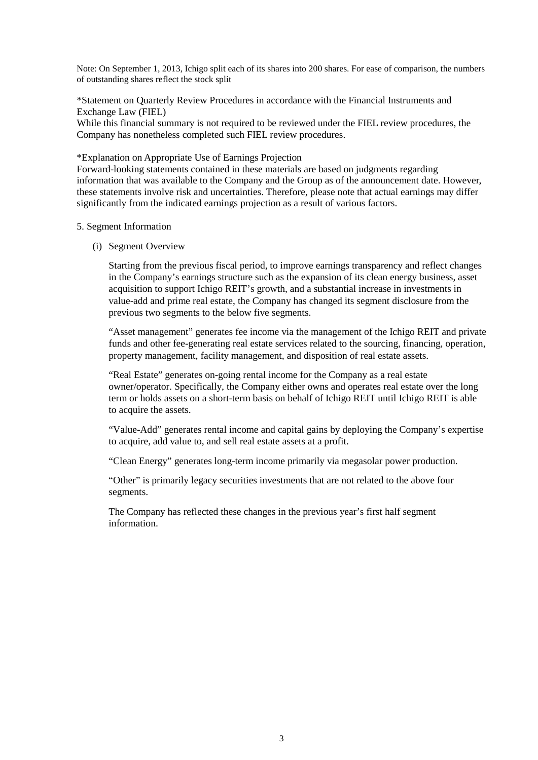Note: On September 1, 2013, Ichigo split each of its shares into 200 shares. For ease of comparison, the numbers of outstanding shares reflect the stock split

\*Statement on Quarterly Review Procedures in accordance with the Financial Instruments and Exchange Law (FIEL)

While this financial summary is not required to be reviewed under the FIEL review procedures, the Company has nonetheless completed such FIEL review procedures.

\*Explanation on Appropriate Use of Earnings Projection

Forward-looking statements contained in these materials are based on judgments regarding information that was available to the Company and the Group as of the announcement date. However, these statements involve risk and uncertainties. Therefore, please note that actual earnings may differ significantly from the indicated earnings projection as a result of various factors.

#### 5. Segment Information

(i) Segment Overview

Starting from the previous fiscal period, to improve earnings transparency and reflect changes in the Company's earnings structure such as the expansion of its clean energy business, asset acquisition to support Ichigo REIT's growth, and a substantial increase in investments in value-add and prime real estate, the Company has changed its segment disclosure from the previous two segments to the below five segments.

"Asset management" generates fee income via the management of the Ichigo REIT and private funds and other fee-generating real estate services related to the sourcing, financing, operation, property management, facility management, and disposition of real estate assets.

"Real Estate" generates on-going rental income for the Company as a real estate owner/operator. Specifically, the Company either owns and operates real estate over the long term or holds assets on a short-term basis on behalf of Ichigo REIT until Ichigo REIT is able to acquire the assets.

"Value-Add" generates rental income and capital gains by deploying the Company's expertise to acquire, add value to, and sell real estate assets at a profit.

"Clean Energy" generates long-term income primarily via megasolar power production.

"Other" is primarily legacy securities investments that are not related to the above four segments.

The Company has reflected these changes in the previous year's first half segment information.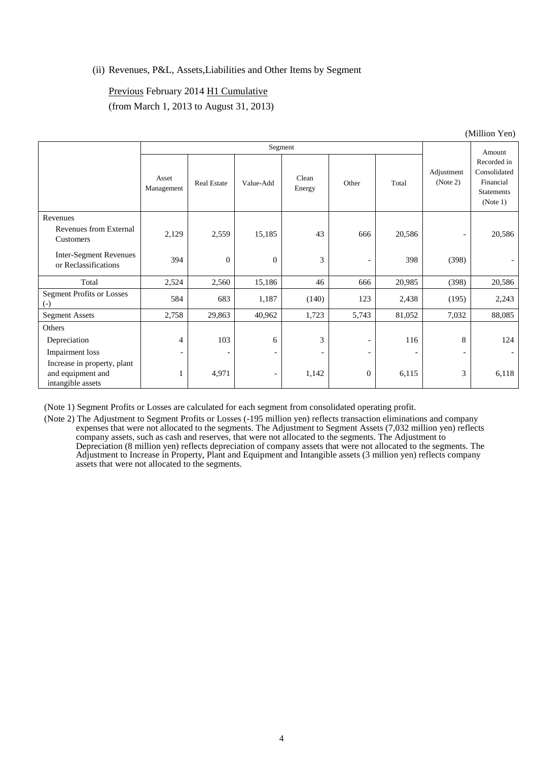#### (ii) Revenues, P&L, Assets,Liabilities and Other Items by Segment

### Previous February 2014 H1 Cumulative (from March 1, 2013 to August 31, 2013)

|                                                                       | Segment                  |                          |                          |                          |                              |                              |                          | Amount                                                                    |
|-----------------------------------------------------------------------|--------------------------|--------------------------|--------------------------|--------------------------|------------------------------|------------------------------|--------------------------|---------------------------------------------------------------------------|
|                                                                       | Asset<br>Management      | Real Estate              | Value-Add                | Clean<br>Energy          | Other                        | Total                        | Adjustment<br>(Note 2)   | Recorded in<br>Consolidated<br>Financial<br><b>Statements</b><br>(Note 1) |
| Revenues<br>Revenues from External<br>Customers                       | 2,129                    | 2,559                    | 15,185                   | 43                       | 666                          | 20,586                       | $\overline{\phantom{a}}$ | 20,586                                                                    |
| <b>Inter-Segment Revenues</b><br>or Reclassifications                 | 394                      | $\overline{0}$           | $\overline{0}$           | 3                        | $\overline{\phantom{a}}$     | 398                          | (398)                    |                                                                           |
| Total                                                                 | 2,524                    | 2,560                    | 15,186                   | 46                       | 666                          | 20,985                       | (398)                    | 20,586                                                                    |
| <b>Segment Profits or Losses</b><br>$(-)$                             | 584                      | 683                      | 1,187                    | (140)                    | 123                          | 2,438                        | (195)                    | 2,243                                                                     |
| <b>Segment Assets</b>                                                 | 2,758                    | 29,863                   | 40,962                   | 1,723                    | 5,743                        | 81,052                       | 7,032                    | 88,085                                                                    |
| Others                                                                |                          |                          |                          |                          |                              |                              |                          |                                                                           |
| Depreciation                                                          | 4                        | 103                      | 6                        | 3                        | $\overline{\phantom{a}}$     | 116                          | 8                        | 124                                                                       |
| Impairment loss                                                       | $\overline{\phantom{a}}$ | $\overline{\phantom{a}}$ | $\overline{\phantom{a}}$ | $\overline{\phantom{a}}$ | $\qquad \qquad \blacksquare$ | $\qquad \qquad \blacksquare$ | $\overline{\phantom{a}}$ |                                                                           |
| Increase in property, plant<br>and equipment and<br>intangible assets |                          | 4,971                    | $\overline{\phantom{a}}$ | 1,142                    | $\mathbf{0}$                 | 6,115                        | 3                        | 6,118                                                                     |

(Million Yen)

(Note 1) Segment Profits or Losses are calculated for each segment from consolidated operating profit.

(Note 2) The Adjustment to Segment Profits or Losses (-195 million yen) reflects transaction eliminations and company expenses that were not allocated to the segments. The Adjustment to Segment Assets (7,032 million yen) reflects company assets, such as cash and reserves, that were not allocated to the segments. The Adjustment to Depreciation (8 million yen) reflects depreciation of company assets that were not allocated to the segments. The Adjustment to Increase in Property, Plant and Equipment and Intangible assets (3 million yen) reflects company assets that were not allocated to the segments.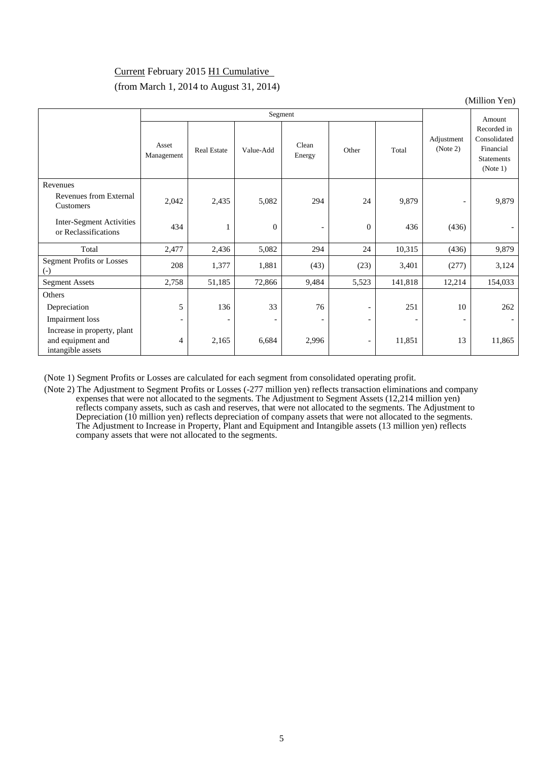### Current February 2015 H1 Cumulative (from March 1, 2014 to August 31, 2014)

(Million Yen)

|                                                                       | Segment                  |                          |                          |                          |                          |         |                          | Amount                                                                    |
|-----------------------------------------------------------------------|--------------------------|--------------------------|--------------------------|--------------------------|--------------------------|---------|--------------------------|---------------------------------------------------------------------------|
|                                                                       | Asset<br>Management      | <b>Real Estate</b>       | Value-Add                | Clean<br>Energy          | Other                    | Total   | Adjustment<br>(Note 2)   | Recorded in<br>Consolidated<br>Financial<br><b>Statements</b><br>(Note 1) |
| Revenues                                                              |                          |                          |                          |                          |                          |         |                          |                                                                           |
| Revenues from External<br>Customers                                   | 2,042                    | 2,435                    | 5,082                    | 294                      | 24                       | 9,879   | $\overline{\phantom{a}}$ | 9,879                                                                     |
| Inter-Segment Activities<br>or Reclassifications                      | 434                      | 1                        | $\mathbf{0}$             | $\overline{\phantom{a}}$ | $\mathbf{0}$             | 436     | (436)                    |                                                                           |
| Total                                                                 | 2,477                    | 2,436                    | 5,082                    | 294                      | 24                       | 10,315  | (436)                    | 9,879                                                                     |
| <b>Segment Profits or Losses</b><br>$(-)$                             | 208                      | 1,377                    | 1,881                    | (43)                     | (23)                     | 3,401   | (277)                    | 3,124                                                                     |
| <b>Segment Assets</b>                                                 | 2,758                    | 51,185                   | 72,866                   | 9,484                    | 5,523                    | 141,818 | 12,214                   | 154,033                                                                   |
| Others                                                                |                          |                          |                          |                          |                          |         |                          |                                                                           |
| Depreciation                                                          | 5                        | 136                      | 33                       | 76                       | $\overline{\phantom{a}}$ | 251     | 10                       | 262                                                                       |
| Impairment loss                                                       | $\overline{\phantom{a}}$ | $\overline{\phantom{a}}$ | $\overline{\phantom{a}}$ |                          | $\overline{\phantom{a}}$ |         |                          |                                                                           |
| Increase in property, plant<br>and equipment and<br>intangible assets | 4                        | 2,165                    | 6,684                    | 2,996                    | $\overline{\phantom{a}}$ | 11,851  | 13                       | 11,865                                                                    |

(Note 1) Segment Profits or Losses are calculated for each segment from consolidated operating profit.

(Note 2) The Adjustment to Segment Profits or Losses (-277 million yen) reflects transaction eliminations and company expenses that were not allocated to the segments. The Adjustment to Segment Assets (12,214 million yen) reflects company assets, such as cash and reserves, that were not allocated to the segments. The Adjustment to Depreciation (10 million yen) reflects depreciation of company assets that were not allocated to the segments. The Adjustment to Increase in Property, Plant and Equipment and Intangible assets (13 million yen) reflects company assets that were not allocated to the segments.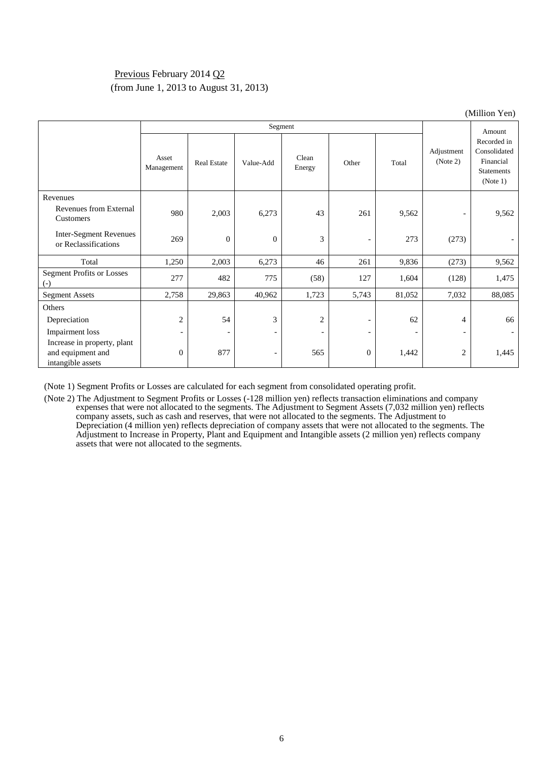### Previous February 2014 Q2 (from June 1, 2013 to August 31, 2013)

|                                                                       |                          |                          |                          |                          |                          |                          |                          | (Million Yen)                                                             |
|-----------------------------------------------------------------------|--------------------------|--------------------------|--------------------------|--------------------------|--------------------------|--------------------------|--------------------------|---------------------------------------------------------------------------|
|                                                                       |                          |                          |                          | Segment                  |                          |                          |                          | Amount                                                                    |
|                                                                       | Asset<br>Management      | <b>Real Estate</b>       | Value-Add                | Clean<br>Energy          | Other                    | Total                    | Adjustment<br>(Note 2)   | Recorded in<br>Consolidated<br>Financial<br><b>Statements</b><br>(Note 1) |
| Revenues<br>Revenues from External<br>Customers                       | 980                      | 2,003                    | 6,273                    | 43                       | 261                      | 9,562                    | $\overline{\phantom{a}}$ | 9,562                                                                     |
| <b>Inter-Segment Revenues</b><br>or Reclassifications                 | 269                      | $\theta$                 | $\theta$                 | 3                        | $\overline{\phantom{a}}$ | 273                      | (273)                    |                                                                           |
| Total                                                                 | 1,250                    | 2,003                    | 6,273                    | 46                       | 261                      | 9,836                    | (273)                    | 9,562                                                                     |
| <b>Segment Profits or Losses</b><br>$(-)$                             | 277                      | 482                      | 775                      | (58)                     | 127                      | 1,604                    | (128)                    | 1,475                                                                     |
| <b>Segment Assets</b>                                                 | 2,758                    | 29,863                   | 40,962                   | 1,723                    | 5,743                    | 81,052                   | 7,032                    | 88,085                                                                    |
| Others                                                                |                          |                          |                          |                          |                          |                          |                          |                                                                           |
| Depreciation                                                          | 2                        | 54                       | 3                        | $\overline{2}$           |                          | 62                       | 4                        | 66                                                                        |
| Impairment loss                                                       | $\overline{\phantom{a}}$ | $\overline{\phantom{a}}$ | $\overline{\phantom{a}}$ | $\overline{\phantom{a}}$ | $\overline{\phantom{a}}$ | $\overline{\phantom{a}}$ | $\overline{\phantom{a}}$ |                                                                           |
| Increase in property, plant<br>and equipment and<br>intangible assets | $\overline{0}$           | 877                      | $\overline{\phantom{a}}$ | 565                      | $\mathbf{0}$             | 1,442                    | $\overline{c}$           | 1,445                                                                     |

(Note 1) Segment Profits or Losses are calculated for each segment from consolidated operating profit.

(Note 2) The Adjustment to Segment Profits or Losses (-128 million yen) reflects transaction eliminations and company expenses that were not allocated to the segments. The Adjustment to Segment Assets (7,032 million yen) reflects company assets, such as cash and reserves, that were not allocated to the segments. The Adjustment to Depreciation (4 million yen) reflects depreciation of company assets that were not allocated to the segments. The Adjustment to Increase in Property, Plant and Equipment and Intangible assets (2 million yen) reflects company assets that were not allocated to the segments.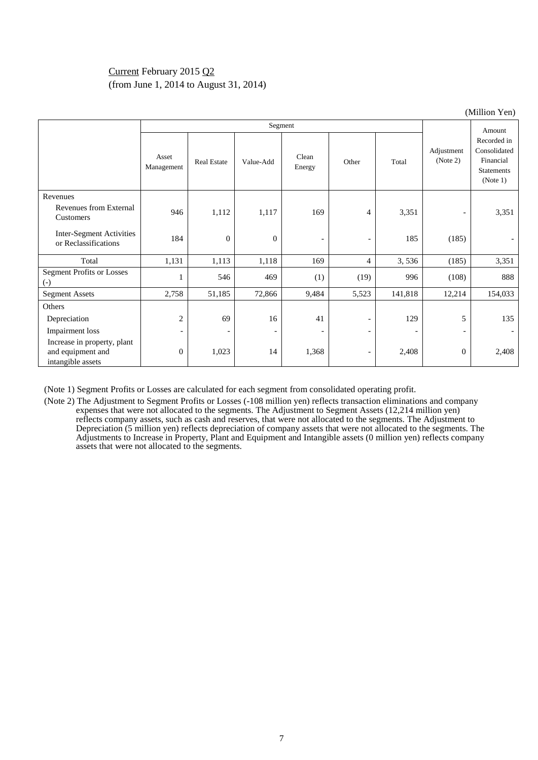### Current February 2015 Q2 (from June 1, 2014 to August 31, 2014)

|                                                                       |                     |                          |                          |                          |                          |                          |                          | $\text{UMLI}$ of $\text{U}$                                               |
|-----------------------------------------------------------------------|---------------------|--------------------------|--------------------------|--------------------------|--------------------------|--------------------------|--------------------------|---------------------------------------------------------------------------|
|                                                                       |                     |                          |                          | Amount                   |                          |                          |                          |                                                                           |
|                                                                       | Asset<br>Management | <b>Real Estate</b>       | Value-Add                | Clean<br>Energy          | Other                    | Total                    | Adjustment<br>(Note 2)   | Recorded in<br>Consolidated<br>Financial<br><b>Statements</b><br>(Note 1) |
| Revenues                                                              |                     |                          |                          |                          |                          |                          |                          |                                                                           |
| <b>Revenues from External</b><br>Customers                            | 946                 | 1,112                    | 1,117                    | 169                      | $\overline{4}$           | 3,351                    | $\overline{\phantom{a}}$ | 3,351                                                                     |
| Inter-Segment Activities<br>or Reclassifications                      | 184                 | $\theta$                 | $\theta$                 | $\overline{\phantom{a}}$ |                          | 185                      | (185)                    |                                                                           |
| Total                                                                 | 1,131               | 1,113                    | 1,118                    | 169                      | $\overline{4}$           | 3,536                    | (185)                    | 3,351                                                                     |
| <b>Segment Profits or Losses</b><br>$(-)$                             |                     | 546                      | 469                      | (1)                      | (19)                     | 996                      | (108)                    | 888                                                                       |
| <b>Segment Assets</b>                                                 | 2,758               | 51,185                   | 72,866                   | 9,484                    | 5,523                    | 141,818                  | 12,214                   | 154,033                                                                   |
| Others                                                                |                     |                          |                          |                          |                          |                          |                          |                                                                           |
| Depreciation                                                          | 2                   | 69                       | 16                       | 41                       | $\overline{\phantom{a}}$ | 129                      | 5                        | 135                                                                       |
| Impairment loss                                                       | -                   | $\overline{\phantom{a}}$ | $\overline{\phantom{a}}$ | $\overline{\phantom{a}}$ | $\overline{\phantom{a}}$ | $\overline{\phantom{a}}$ | $\overline{\phantom{a}}$ |                                                                           |
| Increase in property, plant<br>and equipment and<br>intangible assets | $\overline{0}$      | 1,023                    | 14                       | 1,368                    | $\overline{\phantom{a}}$ | 2,408                    | $\theta$                 | 2,408                                                                     |

(Note 1) Segment Profits or Losses are calculated for each segment from consolidated operating profit.

(Note 2) The Adjustment to Segment Profits or Losses (-108 million yen) reflects transaction eliminations and company expenses that were not allocated to the segments. The Adjustment to Segment Assets (12,214 million yen) reflects company assets, such as cash and reserves, that were not allocated to the segments. The Adjustment to Depreciation (5 million yen) reflects depreciation of company assets that were not allocated to the segments. The Adjustments to Increase in Property, Plant and Equipment and Intangible assets (0 million yen) reflects company assets that were not allocated to the segments.

(Million Yen)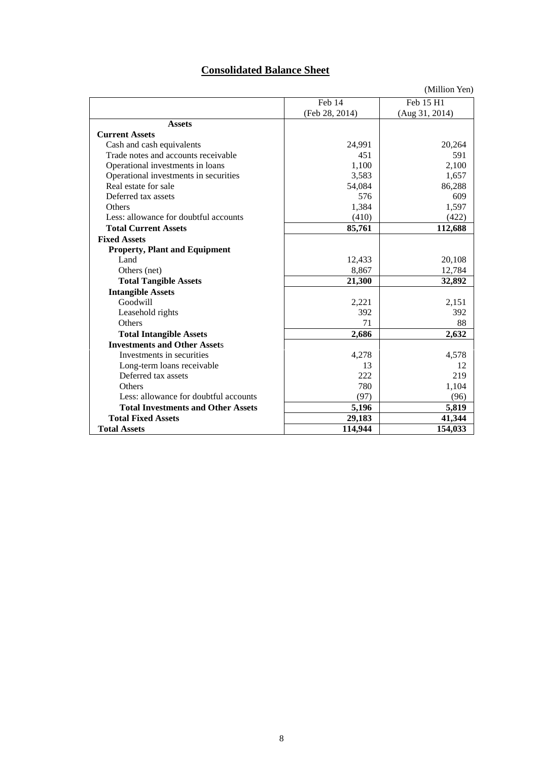# **Consolidated Balance Sheet**

|                                           |                | (Million Yen)  |
|-------------------------------------------|----------------|----------------|
|                                           | Feb 14         | Feb 15 H1      |
|                                           | (Feb 28, 2014) | (Aug 31, 2014) |
| <b>Assets</b>                             |                |                |
| <b>Current Assets</b>                     |                |                |
| Cash and cash equivalents                 | 24,991         | 20,264         |
| Trade notes and accounts receivable       | 451            | 591            |
| Operational investments in loans          | 1.100          | 2,100          |
| Operational investments in securities     | 3,583          | 1,657          |
| Real estate for sale                      | 54,084         | 86,288         |
| Deferred tax assets                       | 576            | 609            |
| <b>Others</b>                             | 1,384          | 1,597          |
| Less: allowance for doubtful accounts     | (410)          | (422)          |
| <b>Total Current Assets</b>               | 85,761         | 112,688        |
| <b>Fixed Assets</b>                       |                |                |
| <b>Property, Plant and Equipment</b>      |                |                |
| Land                                      | 12,433         | 20,108         |
| Others (net)                              | 8,867          | 12,784         |
| <b>Total Tangible Assets</b>              | 21,300         | 32,892         |
| <b>Intangible Assets</b>                  |                |                |
| Goodwill                                  | 2,221          | 2,151          |
| Leasehold rights                          | 392            | 392            |
| Others                                    | 71             | 88             |
| <b>Total Intangible Assets</b>            | 2,686          | 2,632          |
| <b>Investments and Other Assets</b>       |                |                |
| Investments in securities                 | 4,278          | 4,578          |
| Long-term loans receivable                | 13             | 12             |
| Deferred tax assets                       | 222            | 219            |
| <b>Others</b>                             | 780            | 1,104          |
| Less: allowance for doubtful accounts     | (97)           | (96)           |
| <b>Total Investments and Other Assets</b> | 5,196          | 5,819          |
| <b>Total Fixed Assets</b>                 | 29,183         | 41,344         |
| <b>Total Assets</b>                       | 114,944        | 154,033        |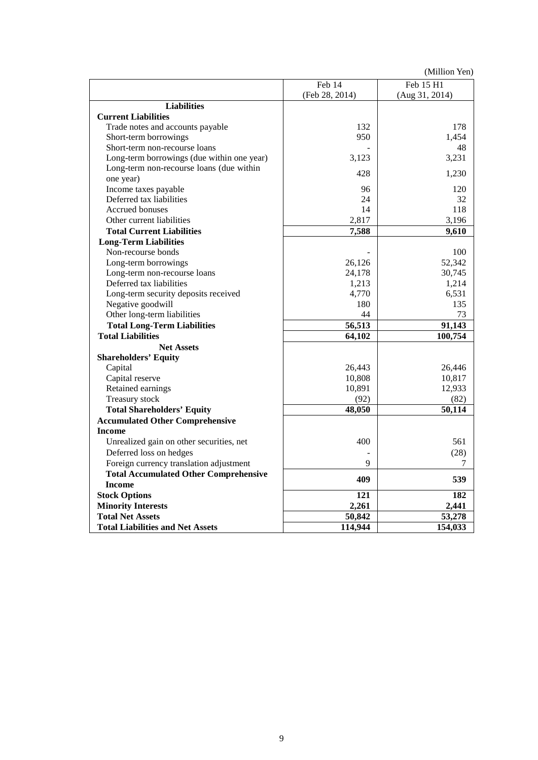(Million Yen)

|                                              | Feb 14         | Feb 15 H1           |
|----------------------------------------------|----------------|---------------------|
|                                              | (Feb 28, 2014) | (Aug 31, 2014)      |
| <b>Liabilities</b>                           |                |                     |
| <b>Current Liabilities</b>                   |                |                     |
| Trade notes and accounts payable             | 132            | 178                 |
| Short-term borrowings                        | 950            | 1,454               |
| Short-term non-recourse loans                |                | 48                  |
| Long-term borrowings (due within one year)   | 3,123          | 3,231               |
| Long-term non-recourse loans (due within     | 428            |                     |
| one year)                                    |                | 1,230               |
| Income taxes payable                         | 96             | 120                 |
| Deferred tax liabilities                     | 24             | 32                  |
| Accrued bonuses                              | 14             | 118                 |
| Other current liabilities                    | 2,817          | 3,196               |
| <b>Total Current Liabilities</b>             | 7,588          | 9,610               |
| <b>Long-Term Liabilities</b>                 |                |                     |
| Non-recourse bonds                           |                | 100                 |
| Long-term borrowings                         | 26,126         | 52,342              |
| Long-term non-recourse loans                 | 24,178         | 30,745              |
| Deferred tax liabilities                     | 1,213          | 1,214               |
| Long-term security deposits received         | 4,770          | 6,531               |
| Negative goodwill                            | 180            | 135                 |
| Other long-term liabilities                  | 44             | 73                  |
| <b>Total Long-Term Liabilities</b>           | 56,513         | 91,143              |
| <b>Total Liabilities</b>                     | 64,102         | 100,754             |
| <b>Net Assets</b>                            |                |                     |
| <b>Shareholders' Equity</b>                  |                |                     |
| Capital                                      | 26,443         | 26,446              |
| Capital reserve                              | 10,808         | 10,817              |
| Retained earnings                            | 10,891         | 12,933              |
| Treasury stock                               | (92)           | (82)                |
| <b>Total Shareholders' Equity</b>            | 48,050         | $\overline{50,}114$ |
| <b>Accumulated Other Comprehensive</b>       |                |                     |
| <b>Income</b>                                |                |                     |
| Unrealized gain on other securities, net     | 400            | 561                 |
| Deferred loss on hedges                      |                | (28)                |
| Foreign currency translation adjustment      | 9              | 7                   |
| <b>Total Accumulated Other Comprehensive</b> |                |                     |
| <b>Income</b>                                | 409            | 539                 |
| <b>Stock Options</b>                         | 121            | 182                 |
| <b>Minority Interests</b>                    | 2,261          | 2,441               |
| <b>Total Net Assets</b>                      | 50,842         | 53,278              |
| <b>Total Liabilities and Net Assets</b>      | 114,944        | 154,033             |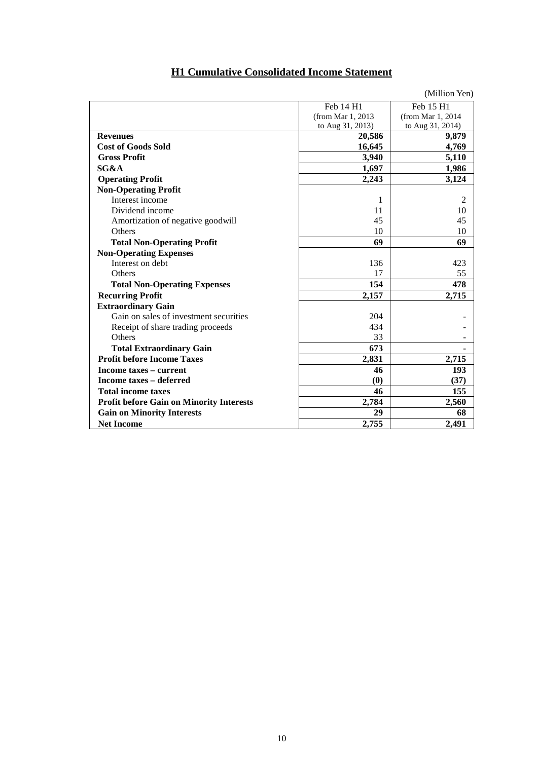| <b>H1 Cumulative Consolidated Income Statement</b> |  |
|----------------------------------------------------|--|
|----------------------------------------------------|--|

|                                                 |                    | (Million Yen)      |
|-------------------------------------------------|--------------------|--------------------|
|                                                 | Feb 14 H1          | Feb 15 H1          |
|                                                 | (from Mar 1, 2013) | (from Mar 1, 2014) |
|                                                 | to Aug 31, 2013)   | to Aug 31, 2014)   |
| <b>Revenues</b>                                 | 20,586             | 9,879              |
| <b>Cost of Goods Sold</b>                       | 16,645             | 4,769              |
| <b>Gross Profit</b>                             | 3,940              | 5,110              |
| SG&A                                            | 1,697              | 1,986              |
| <b>Operating Profit</b>                         | 2,243              | 3,124              |
| <b>Non-Operating Profit</b>                     |                    |                    |
| Interest income                                 | 1                  | 2                  |
| Dividend income                                 | 11                 | 10                 |
| Amortization of negative goodwill               | 45                 | 45                 |
| Others                                          | 10                 | 10                 |
| <b>Total Non-Operating Profit</b>               | 69                 | 69                 |
| <b>Non-Operating Expenses</b>                   |                    |                    |
| Interest on debt                                | 136                | 423                |
| Others                                          | 17                 | 55                 |
| <b>Total Non-Operating Expenses</b>             | 154                | 478                |
| <b>Recurring Profit</b>                         | 2,157              | 2,715              |
| <b>Extraordinary Gain</b>                       |                    |                    |
| Gain on sales of investment securities          | 204                |                    |
| Receipt of share trading proceeds               | 434                |                    |
| Others                                          | 33                 |                    |
| <b>Total Extraordinary Gain</b>                 | 673                |                    |
| <b>Profit before Income Taxes</b>               | 2,831              | 2,715              |
| Income taxes – current                          | 46                 | 193                |
| <b>Income taxes - deferred</b>                  | (0)                | (37)               |
| <b>Total income taxes</b>                       | 46                 | 155                |
| <b>Profit before Gain on Minority Interests</b> | 2,784              | 2,560              |
| <b>Gain on Minority Interests</b>               | 29                 | 68                 |
| <b>Net Income</b>                               | 2,755              | 2,491              |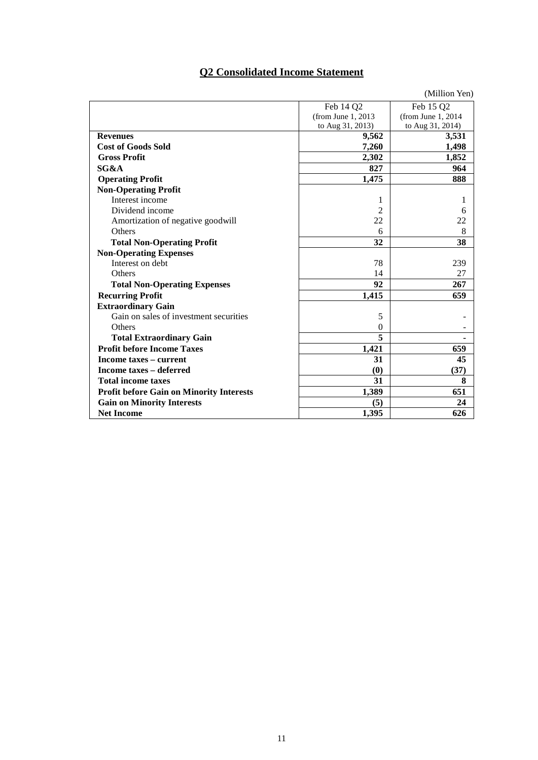# **Q2 Consolidated Income Statement**

|                                                 |                     | (Million Yen)       |
|-------------------------------------------------|---------------------|---------------------|
|                                                 | Feb 14 Q2           | Feb 15 Q2           |
|                                                 | (from June 1, 2013) | (from June 1, 2014) |
|                                                 | to Aug 31, 2013)    | to Aug 31, 2014)    |
| <b>Revenues</b>                                 | 9,562               | 3,531               |
| <b>Cost of Goods Sold</b>                       | 7,260               | 1,498               |
| <b>Gross Profit</b>                             | 2,302               | 1,852               |
| SG&A                                            | 827                 | 964                 |
| <b>Operating Profit</b>                         | 1,475               | 888                 |
| <b>Non-Operating Profit</b>                     |                     |                     |
| Interest income                                 | 1                   | 1                   |
| Dividend income                                 | $\overline{c}$      | 6                   |
| Amortization of negative goodwill               | 22                  | 22                  |
| Others                                          | 6                   | 8                   |
| <b>Total Non-Operating Profit</b>               | 32                  | 38                  |
| <b>Non-Operating Expenses</b>                   |                     |                     |
| Interest on debt                                | 78                  | 239                 |
| Others                                          | 14                  | 27                  |
| <b>Total Non-Operating Expenses</b>             | 92                  | 267                 |
| <b>Recurring Profit</b>                         | 1,415               | 659                 |
| <b>Extraordinary Gain</b>                       |                     |                     |
| Gain on sales of investment securities          | 5                   |                     |
| Others                                          | $\mathbf{0}$        |                     |
| <b>Total Extraordinary Gain</b>                 | 5                   |                     |
| <b>Profit before Income Taxes</b>               | 1,421               | 659                 |
| Income taxes – current                          | 31                  | 45                  |
| <b>Income taxes - deferred</b>                  | (0)                 | (37)                |
| <b>Total income taxes</b>                       | 31                  | 8                   |
| <b>Profit before Gain on Minority Interests</b> | 1,389               | 651                 |
| <b>Gain on Minority Interests</b>               | (5)                 | 24                  |
| <b>Net Income</b>                               | 1,395               | 626                 |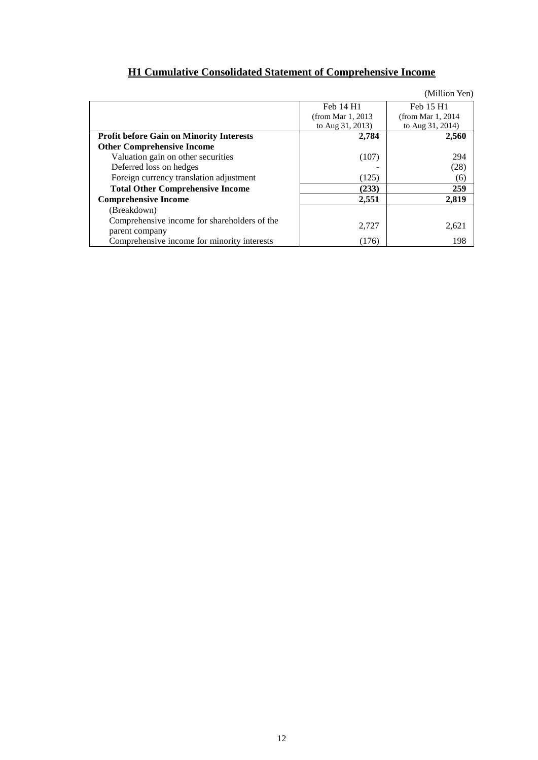|                                                                |                    | (Million Yen)         |
|----------------------------------------------------------------|--------------------|-----------------------|
|                                                                | Feb 14 H1          | Feb 15 H1             |
|                                                                | (from Mar 1, 2013) | (from Mar $1, 2014$ ) |
|                                                                | to Aug 31, 2013)   | to Aug 31, 2014)      |
| <b>Profit before Gain on Minority Interests</b>                | 2,784              | 2,560                 |
| <b>Other Comprehensive Income</b>                              |                    |                       |
| Valuation gain on other securities                             | (107)              | 294                   |
| Deferred loss on hedges                                        |                    | (28)                  |
| Foreign currency translation adjustment                        | (125)              | (6)                   |
| <b>Total Other Comprehensive Income</b>                        | (233)              | 259                   |
| <b>Comprehensive Income</b>                                    | 2,551              | 2.819                 |
| (Breakdown)                                                    |                    |                       |
| Comprehensive income for shareholders of the<br>parent company | 2,727              | 2,621                 |
| Comprehensive income for minority interests                    | (176)              | 198                   |

# **H1 Cumulative Consolidated Statement of Comprehensive Income**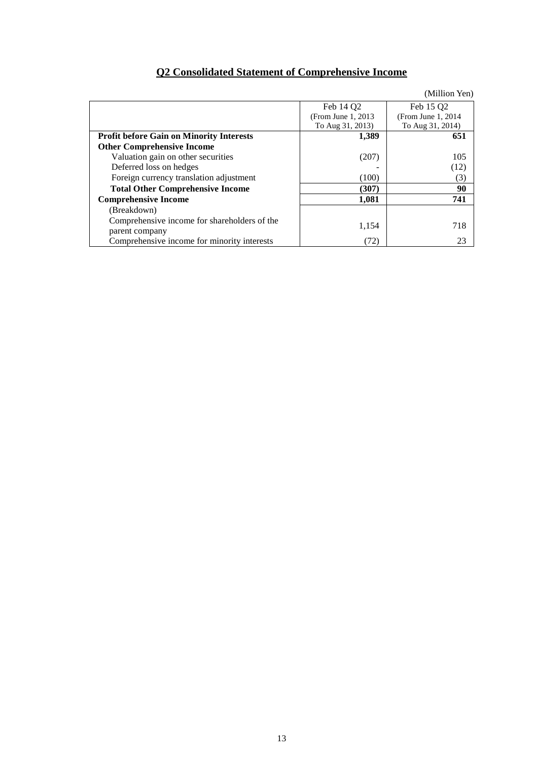# **Q2 Consolidated Statement of Comprehensive Income**

|                                                                |                     | (Million Yen)       |
|----------------------------------------------------------------|---------------------|---------------------|
|                                                                | Feb 14 Q2           | Feb 15 Q2           |
|                                                                | (From June 1, 2013) | (From June 1, 2014) |
|                                                                | To Aug 31, 2013)    | To Aug 31, 2014)    |
| <b>Profit before Gain on Minority Interests</b>                | 1,389               | 651                 |
| <b>Other Comprehensive Income</b>                              |                     |                     |
| Valuation gain on other securities                             | (207)               | 105                 |
| Deferred loss on hedges                                        |                     | (12)                |
| Foreign currency translation adjustment                        | (100)               | (3)                 |
| <b>Total Other Comprehensive Income</b>                        | (307)               | 90                  |
| <b>Comprehensive Income</b>                                    | 1,081               | 741                 |
| (Breakdown)                                                    |                     |                     |
| Comprehensive income for shareholders of the<br>parent company | 1,154               | 718                 |
| Comprehensive income for minority interests                    | (72)                | 23                  |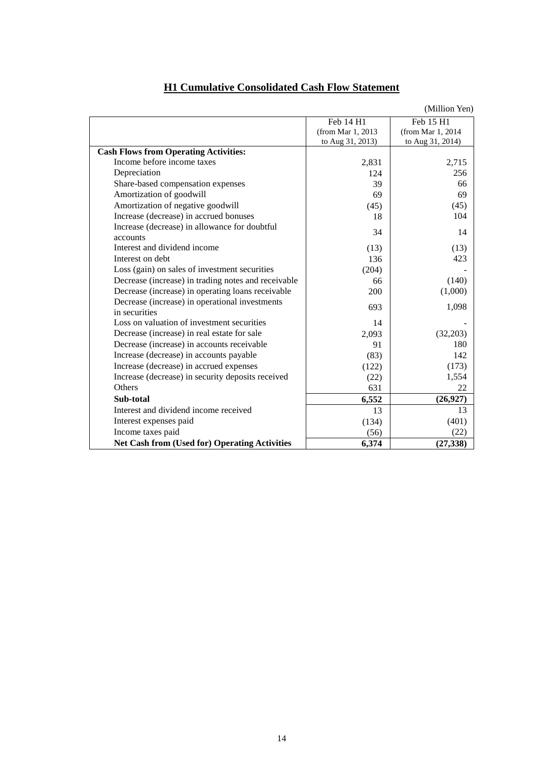|                                                                 |                    | (Million Yen)      |
|-----------------------------------------------------------------|--------------------|--------------------|
|                                                                 | Feb 14 H1          | Feb 15 H1          |
|                                                                 | (from Mar 1, 2013) | (from Mar 1, 2014) |
|                                                                 | to Aug 31, 2013)   | to Aug 31, 2014)   |
| <b>Cash Flows from Operating Activities:</b>                    |                    |                    |
| Income before income taxes                                      | 2,831              | 2,715              |
| Depreciation                                                    | 124                | 256                |
| Share-based compensation expenses                               | 39                 | 66                 |
| Amortization of goodwill                                        | 69                 | 69                 |
| Amortization of negative goodwill                               | (45)               | (45)               |
| Increase (decrease) in accrued bonuses                          | 18                 | 104                |
| Increase (decrease) in allowance for doubtful<br>accounts       | 34                 | 14                 |
| Interest and dividend income                                    | (13)               | (13)               |
| Interest on debt                                                | 136                | 423                |
| Loss (gain) on sales of investment securities                   |                    |                    |
| Decrease (increase) in trading notes and receivable             | (204)              |                    |
|                                                                 | 66                 | (140)              |
| Decrease (increase) in operating loans receivable               | 200                | (1,000)            |
| Decrease (increase) in operational investments<br>in securities | 693                | 1,098              |
| Loss on valuation of investment securities                      | 14                 |                    |
| Decrease (increase) in real estate for sale                     | 2,093              | (32,203)           |
| Decrease (increase) in accounts receivable                      | 91                 | 180                |
| Increase (decrease) in accounts payable                         | (83)               | 142                |
| Increase (decrease) in accrued expenses                         | (122)              | (173)              |
| Increase (decrease) in security deposits received               | (22)               | 1,554              |
| Others                                                          | 631                | 22                 |
| Sub-total                                                       | 6,552              | (26,927)           |
| Interest and dividend income received                           | 13                 | 13                 |
| Interest expenses paid                                          | (134)              | (401)              |
| Income taxes paid                                               | (56)               | (22)               |
| <b>Net Cash from (Used for) Operating Activities</b>            | 6,374              | (27, 338)          |

# **H1 Cumulative Consolidated Cash Flow Statement**